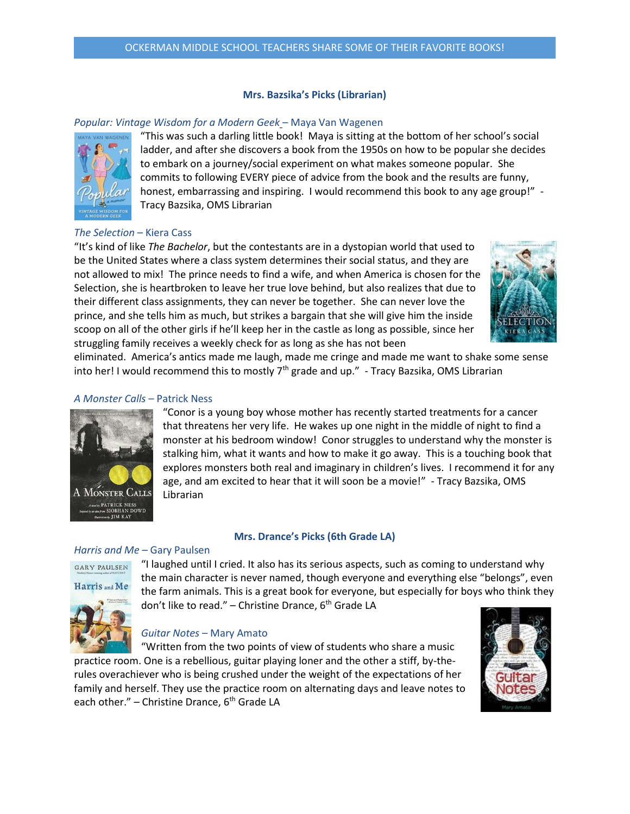### **Mrs. Bazsika's Picks (Librarian)**

### *Popular: Vintage Wisdom for a Modern Geek* – Maya Van Wagenen



"This was such a darling little book! Maya is sitting at the bottom of her school's social ladder, and after she discovers a book from the 1950s on how to be popular she decides to embark on a journey/social experiment on what makes someone popular. She commits to following EVERY piece of advice from the book and the results are funny, honest, embarrassing and inspiring. I would recommend this book to any age group!" -Tracy Bazsika, OMS Librarian

## *The Selection* – Kiera Cass

"It's kind of like *The Bachelor*, but the contestants are in a dystopian world that used to be the United States where a class system determines their social status, and they are not allowed to mix! The prince needs to find a wife, and when America is chosen for the Selection, she is heartbroken to leave her true love behind, but also realizes that due to their different class assignments, they can never be together. She can never love the prince, and she tells him as much, but strikes a bargain that she will give him the inside scoop on all of the other girls if he'll keep her in the castle as long as possible, since her struggling family receives a weekly check for as long as she has not been



eliminated. America's antics made me laugh, made me cringe and made me want to shake some sense into her! I would recommend this to mostly  $7<sup>th</sup>$  grade and up." - Tracy Bazsika, OMS Librarian

### *A Monster Calls* – Patrick Ness



"Conor is a young boy whose mother has recently started treatments for a cancer that threatens her very life. He wakes up one night in the middle of night to find a monster at his bedroom window! Conor struggles to understand why the monster is stalking him, what it wants and how to make it go away. This is a touching book that explores monsters both real and imaginary in children's lives. I recommend it for any age, and am excited to hear that it will soon be a movie!" - Tracy Bazsika, OMS Librarian

### **Mrs. Drance's Picks (6th Grade LA)**

### *Harris and Me –* Gary Paulsen



**GARY PAULSEN** 

"I laughed until I cried. It also has its serious aspects, such as coming to understand why the main character is never named, though everyone and everything else "belongs", even the farm animals. This is a great book for everyone, but especially for boys who think they don't like to read." – Christine Drance,  $6<sup>th</sup>$  Grade LA



## *Guitar Notes* – Mary Amato

"Written from the two points of view of students who share a music practice room. One is a rebellious, guitar playing loner and the other a stiff, by-therules overachiever who is being crushed under the weight of the expectations of her family and herself. They use the practice room on alternating days and leave notes to each other." – Christine Drance,  $6<sup>th</sup>$  Grade LA

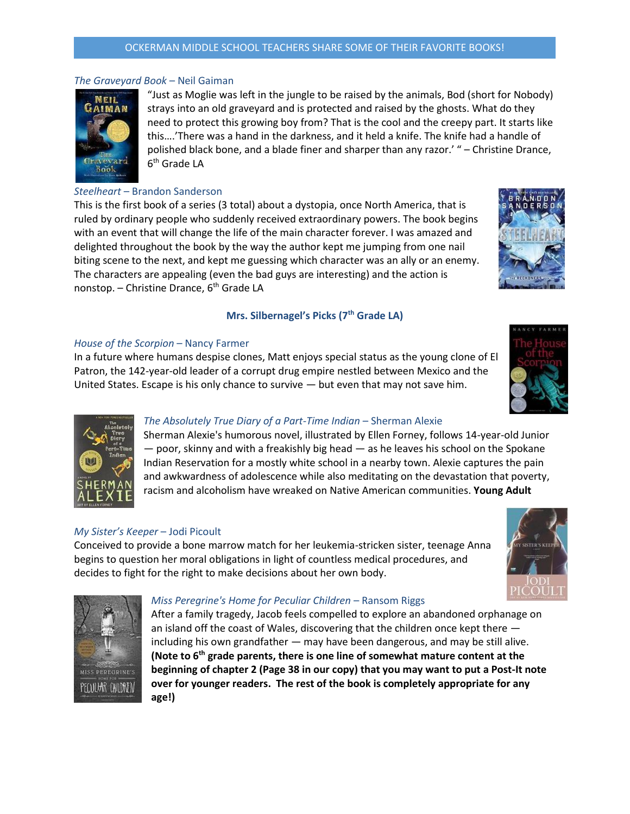## OCKERMAN MIDDLE SCHOOL TEACHERS SHARE SOME OF THEIR FAVORITE BOOKS!

# *The Graveyard Book* – Neil Gaiman

NEIL **AIMAN** Book

"Just as Moglie was left in the jungle to be raised by the animals, Bod (short for Nobody) strays into an old graveyard and is protected and raised by the ghosts. What do they need to protect this growing boy from? That is the cool and the creepy part. It starts like this….'There was a hand in the darkness, and it held a knife. The knife had a handle of polished black bone, and a blade finer and sharper than any razor.' " – Christine Drance, 6<sup>th</sup> Grade LA

# *Steelheart* – Brandon Sanderson

This is the first book of a series (3 total) about a dystopia, once North America, that is ruled by ordinary people who suddenly received extraordinary powers. The book begins with an event that will change the life of the main character forever. I was amazed and delighted throughout the book by the way the author kept me jumping from one nail biting scene to the next, and kept me guessing which character was an ally or an enemy. The characters are appealing (even the bad guys are interesting) and the action is nonstop. - Christine Drance, 6<sup>th</sup> Grade LA

# **Mrs. Silbernagel's Picks (7 th Grade LA)**

## *House of the Scorpion* – Nancy Farmer

In a future where humans despise clones, Matt enjoys special status as the young clone of El Patron, the 142-year-old leader of a corrupt drug empire nestled between Mexico and the United States. Escape is his only chance to survive  $-$  but even that may not save him.

# *The Absolutely True Diary of a Part-Time Indian* – Sherman Alexie

Sherman Alexie's humorous novel, illustrated by Ellen Forney, follows 14-year-old Junior — poor, skinny and with a freakishly big head — as he leaves his school on the Spokane Indian Reservation for a mostly white school in a nearby town. Alexie captures the pain and awkwardness of adolescence while also meditating on the devastation that poverty, racism and alcoholism have wreaked on Native American communities. **Young Adult**

## *My Sister's Keeper* – Jodi Picoult

Conceived to provide a bone marrow match for her leukemia-stricken sister, teenage Anna begins to question her moral obligations in light of countless medical procedures, and decides to fight for the right to make decisions about her own body.



### *Miss Peregrine's Home for Peculiar Children* – Ransom Riggs

After a family tragedy, Jacob feels compelled to explore an abandoned orphanage on an island off the coast of Wales, discovering that the children once kept there including his own grandfather — may have been dangerous, and may be still alive. **(Note to 6th grade parents, there is one line of somewhat mature content at the beginning of chapter 2 (Page 38 in our copy) that you may want to put a Post-It note over for younger readers. The rest of the book is completely appropriate for any age!)**